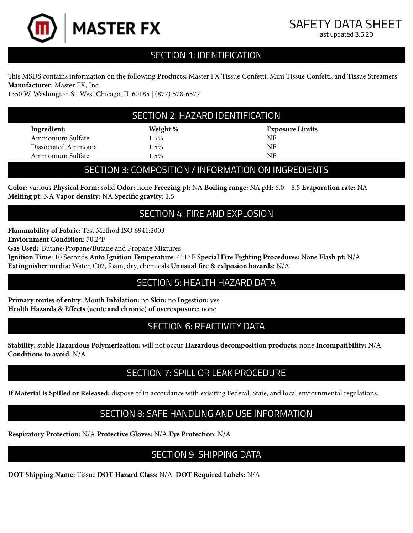

# SECTION 1: IDENTIFICATION

This MSDS contains information on the following **Products:** Master FX Tissue Confetti, Mini Tissue Confetti, and Tissue Streamers. **Manufacturer:** Master FX, Inc.

1350 W. Washington St. West Chicago, IL 60185 | (877) 578-6577

#### SECTION 2: HAZARD IDENTIFICATION

**Ingredient:** Ammonium Sulfate Dissociated Ammonia Ammonium Sulfate

**Weight %** 1.5% 1.5% 1.5%

**Exposure Limits** NE NE NE

#### SECTION 3: COMPOSITION / INFORMATION ON INGREDIENTS

**Color:** various **Physical Form:** solid **Odor:** none **Freezing pt:** NA **Boiling range:** NA **pH:** 6.0 – 8.5 **Evaporation rate:** NA **Melting pt:** NA **Vapor density:** NA **Specific gravity:** 1.5

### SECTION 4: FIRE AND EXPLOSION

**Flammability of Fabric:** Test Method ISO 6941:2003

**Enviornment Condition:** 70.2°F

**Gas Used:** Butane/Propane/Butane and Propane Mixtures

**Ignition Time:** 10 Seconds **Auto Ignition Temperature:** 451º F **Special Fire Fighting Procedures:** None **Flash pt:** N/A **Extinguisher media:** Water, C02, foam, dry, chemicals **Unusual fire & exlposion hazards:** N/A

## SECTION 5: HEALTH HAZARD DATA

**Primary routes of entry:** Mouth **Inhilation:** no **Skin:** no **Ingestion:** yes **Health Hazards & Effects (acute and chronic) of overexposure:** none

### SECTION 6: REACTIVITY DATA

**Stability:** stable **Hazardous Polymerization:** will not occur **Hazardous decomposition products:** none **Incompatibility:** N/A **Conditions to avoid:** N/A

#### SECTION 7: SPILL OR LEAK PROCEDURE

**If Material is Spilled or Released:** dispose of in accordance with exisiting Federal, State, and local enviornmental regulations.

### SECTION 8: SAFE HANDLING AND USE INFORMATION

**Respiratory Protection:** N/A **Protective Gloves:** N/A **Eye Protection:** N/A

### SECTION 9: SHIPPING DATA

**DOT Shipping Name:** Tissue **DOT Hazard Class:** N/A **DOT Required Labels:** N/A